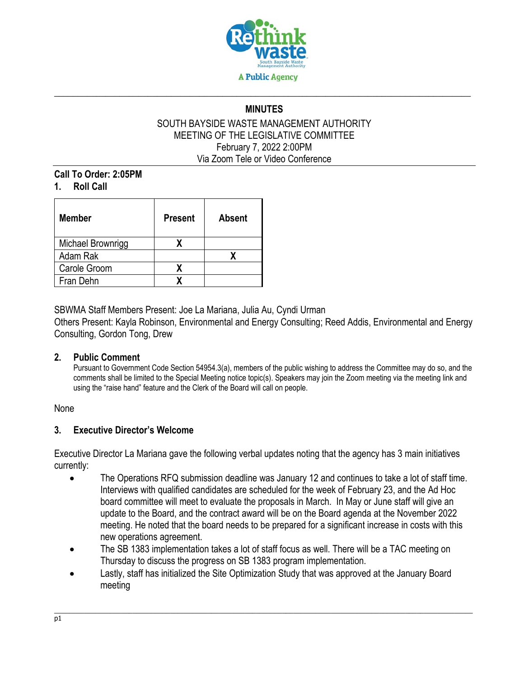

# **\_\_\_\_\_\_\_\_\_\_\_\_\_\_\_\_\_\_\_\_\_\_\_\_\_\_\_\_\_\_\_\_\_\_\_\_\_\_\_\_\_\_\_\_\_\_\_\_\_\_\_\_\_\_\_\_\_\_\_\_\_\_\_\_\_\_\_\_\_\_\_\_\_\_\_\_\_\_\_\_\_\_\_\_\_\_\_\_\_ MINUTES**

### SOUTH BAYSIDE WASTE MANAGEMENT AUTHORITY MEETING OF THE LEGISLATIVE COMMITTEE February 7, 2022 2:00PM Via Zoom Tele or Video Conference

#### **Call To Order: 2:05PM 1. Roll Call**

| <b>Member</b>     | <b>Present</b> | Absent |
|-------------------|----------------|--------|
| Michael Brownrigg |                |        |
| Adam Rak          |                |        |
| Carole Groom      | x              |        |
| Fran Dehn         |                |        |

SBWMA Staff Members Present: Joe La Mariana, Julia Au, Cyndi Urman

Others Present: Kayla Robinson, Environmental and Energy Consulting; Reed Addis, Environmental and Energy Consulting, Gordon Tong, Drew

# **2. Public Comment**

Pursuant to Government Code Section 54954.3(a), members of the public wishing to address the Committee may do so, and the comments shall be limited to the Special Meeting notice topic(s). Speakers may join the Zoom meeting via the meeting link and using the "raise hand" feature and the Clerk of the Board will call on people.

None

# **3. Executive Director's Welcome**

Executive Director La Mariana gave the following verbal updates noting that the agency has 3 main initiatives currently:

- The Operations RFQ submission deadline was January 12 and continues to take a lot of staff time. Interviews with qualified candidates are scheduled for the week of February 23, and the Ad Hoc board committee will meet to evaluate the proposals in March. In May or June staff will give an update to the Board, and the contract award will be on the Board agenda at the November 2022 meeting. He noted that the board needs to be prepared for a significant increase in costs with this new operations agreement.
- The SB 1383 implementation takes a lot of staff focus as well. There will be a TAC meeting on Thursday to discuss the progress on SB 1383 program implementation.
- Lastly, staff has initialized the Site Optimization Study that was approved at the January Board meeting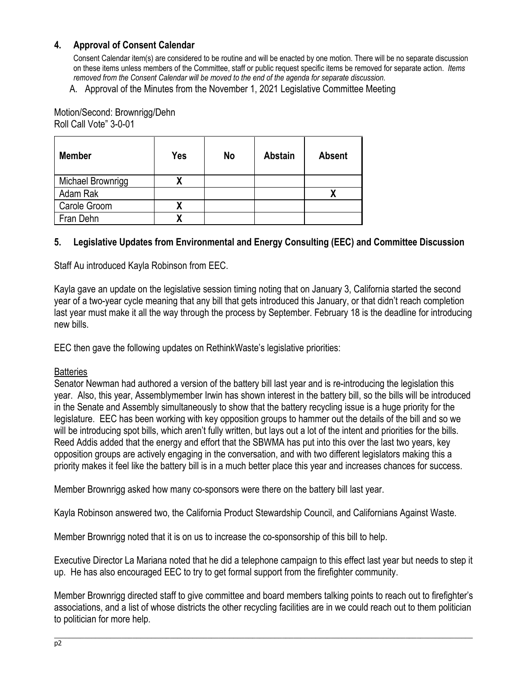# **4. Approval of Consent Calendar**

Consent Calendar item(s) are considered to be routine and will be enacted by one motion. There will be no separate discussion on these items unless members of the Committee, staff or public request specific items be removed for separate action. *Items removed from the Consent Calendar will be moved to the end of the agenda for separate discussion*.

A. Approval of the Minutes from the November 1, 2021 Legislative Committee Meeting

Motion/Second: Brownrigg/Dehn Roll Call Vote" 3-0-01

| <b>Member</b>     | Yes | No | <b>Abstain</b> | <b>Absent</b> |
|-------------------|-----|----|----------------|---------------|
| Michael Brownrigg | χ   |    |                |               |
| Adam Rak          |     |    |                |               |
| Carole Groom      | χ   |    |                |               |
| Fran Dehn         | χ   |    |                |               |

# **5. Legislative Updates from Environmental and Energy Consulting (EEC) and Committee Discussion**

Staff Au introduced Kayla Robinson from EEC.

Kayla gave an update on the legislative session timing noting that on January 3, California started the second year of a two-year cycle meaning that any bill that gets introduced this January, or that didn't reach completion last year must make it all the way through the process by September. February 18 is the deadline for introducing new bills.

EEC then gave the following updates on RethinkWaste's legislative priorities:

# **Batteries**

Senator Newman had authored a version of the battery bill last year and is re-introducing the legislation this year. Also, this year, Assemblymember Irwin has shown interest in the battery bill, so the bills will be introduced in the Senate and Assembly simultaneously to show that the battery recycling issue is a huge priority for the legislature. EEC has been working with key opposition groups to hammer out the details of the bill and so we will be introducing spot bills, which aren't fully written, but lays out a lot of the intent and priorities for the bills. Reed Addis added that the energy and effort that the SBWMA has put into this over the last two years, key opposition groups are actively engaging in the conversation, and with two different legislators making this a priority makes it feel like the battery bill is in a much better place this year and increases chances for success.

Member Brownrigg asked how many co-sponsors were there on the battery bill last year.

Kayla Robinson answered two, the California Product Stewardship Council, and Californians Against Waste.

Member Brownrigg noted that it is on us to increase the co-sponsorship of this bill to help.

Executive Director La Mariana noted that he did a telephone campaign to this effect last year but needs to step it up. He has also encouraged EEC to try to get formal support from the firefighter community.

Member Brownrigg directed staff to give committee and board members talking points to reach out to firefighter's associations, and a list of whose districts the other recycling facilities are in we could reach out to them politician to politician for more help.